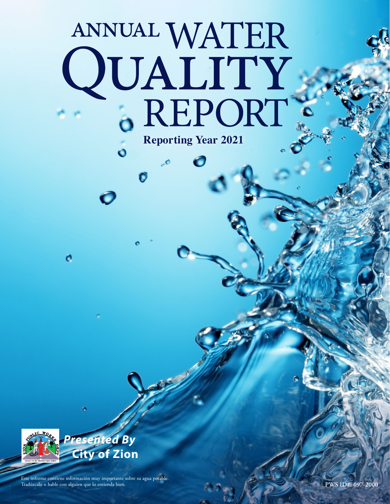# ANNUAL WATER QUALITY .. **Reporting Year 2021**

 $\overline{10}$ 

G



o

*Presented By* **City of Zion**

Este informe contiene información muy importante sobre su agua potable. Tradúzcalo o hable con alguien que lo entienda bien.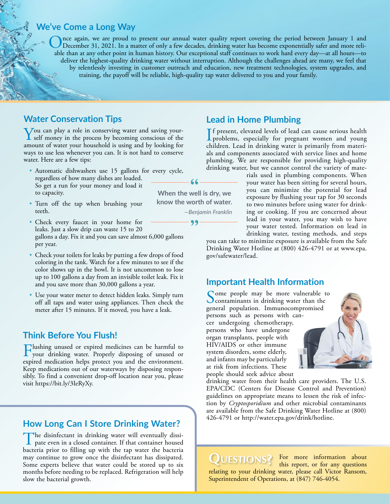#### **We've Come a Long Way**

Once again, we are proud to present our annual water quality report covering the period between January 1 and<br>December 31, 2021. In a matter of only a few decades, drinking water has become exponentially safer and more rel able than at any other point in human history. Our exceptional staff continues to work hard every day—at all hours—to deliver the highest-quality drinking water without interruption. Although the challenges ahead are many, we feel that by relentlessly investing in customer outreach and education, new treatment technologies, system upgrades, and training, the payoff will be reliable, high-quality tap water delivered to you and your family.

## **Water Conservation Tips**

You can play a role in conserving water and saving your-<br>self money in the process by becoming conscious of the<br>second of motor way boughted is using and by looking for amount of water your household is using and by looking for ways to use less whenever you can. It is not hard to conserve water. Here are a few tips:

- Automatic dishwashers use 15 gallons for every cycle, regardless of how many dishes are loaded. So get a run for your money and load it to capacity.
- Turn off the tap when brushing your teeth.
- Check every faucet in your home for leaks. Just a slow drip can waste 15 to 20 gallons a day. Fix it and you can save almost 6,000 gallons per year.
- Check your toilets for leaks by putting a few drops of food coloring in the tank. Watch for a few minutes to see if the color shows up in the bowl. It is not uncommon to lose up to 100 gallons a day from an invisible toilet leak. Fix it and you save more than 30,000 gallons a year.
- Use your water meter to detect hidden leaks. Simply turn off all taps and water using appliances. Then check the meter after 15 minutes. If it moved, you have a leak.

## **Think Before You Flush!**

Flushing unused or expired medicines can be harmful to your drinking water. Properly disposing of unused or expired medication helps protect you and the environment. Keep medications out of our waterways by disposing responsibly. To find a convenient drop-off location near you, please visit<https://bit.ly/3IeRyXy>.

## **How Long Can I Store Drinking Water?**

The disinfectant in drinking water will eventually dissipate even in a closed container. If that container housed bacteria prior to filling up with the tap water the bacteria may continue to grow once the disinfectant has dissipated. Some experts believe that water could be stored up to six months before needing to be replaced. Refrigeration will help slow the bacterial growth.

## **Lead in Home Plumbing**

If present, elevated levels of lead can cause serious health<br>problems, especially for pregnant women and young<br>abildren. Look in drinking unser is primarily from massei. problems, especially for pregnant women and young children. Lead in drinking water is primarily from materials and components associated with service lines and home plumbing. We are responsible for providing high-quality drinking water, but we cannot control the variety of mate-

rials used in plumbing components. When your water has been sitting for several hours, you can minimize the potential for lead exposure by flushing your tap for 30 seconds to two minutes before using water for drinking or cooking. If you are concerned about lead in your water, you may wish to have your water tested. Information on lead in drinking water, testing methods, and steps

you can take to minimize exposure is available from the Safe Drinking Water Hotline at (800) 426-4791 or at [www.epa.](http://www.epa.gov/safewater/lead) [gov/safewater/lead](http://www.epa.gov/safewater/lead).

## **Important Health Information**

Come people may be more vulnerable to Contaminants in drinking water than the general population. Immunocompromised persons such as persons with cancer undergoing chemotherapy, persons who have undergone organ transplants, people with HIV/AIDS or other immune system disorders, some elderly, and infants may be particularly at risk from infections. These people should seek advice about

drinking water from their health care providers. The U.S. EPA/CDC (Centers for Disease Control and Prevention) guidelines on appropriate means to lessen the risk of infection by *Cryptosporidium* and other microbial contaminants are available from the Safe Drinking Water Hotline at (800) 426-4791 or <http://water.epa.gov/drink/hotline>.

**QUESTIONS?** For more information about this report, or for any questions this report, or for any questions relating to your drinking water, please call Victor Ransom, Superintendent of Operations, at (847) 746-4054.

**When the well is dry, we know the worth of water.** *—Benjamin Franklin*

99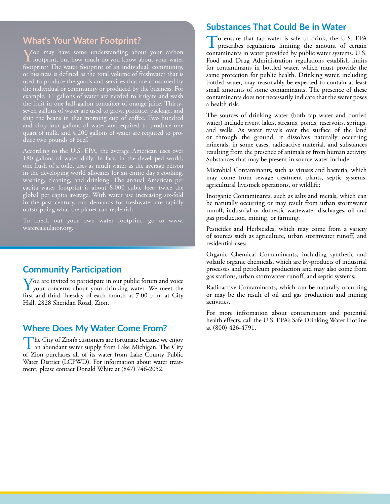## **What's Your Water Footprint?**

You may have some understanding about your carbon<br>footprint, but how much do you know about your water footprint? The water footprint of an individual, community, or business is defined as the total volume of freshwater that is used to produce the goods and services that are consumed by the individual or community or produced by the business. For example, 11 gallons of water are needed to irrigate and wash the fruit in one half-gallon container of orange juice. Thirtyseven gallons of water are used to grow, produce, package, and ship the beans in that morning cup of coffee. Two hundred and sixty-four gallons of water are required to produce one quart of milk, and 4,200 gallons of water are required to produce two pounds of beef.

According to the U.S. EPA, the average American uses over 180 gallons of water daily. In fact, in the developed world, one flush of a toilet uses as much water as the average person in the developing world allocates for an entire day's cooking, washing, cleaning, and drinking. The annual American per capita water footprint is about 8,000 cubic feet; twice the global per capita average. With water use increasing six-fold in the past century, our demands for freshwater are rapidly outstripping what the planet can replenish.

To check out your own water footprint, go to [www.](http://www.watercalculator.org) [watercalculator.org.](http://www.watercalculator.org)

## **Community Participation**

You are invited to participate in our public forum and voice<br>your concerns about your drinking water. We meet the<br>first and third Treader of asek manth 14.7:00 nm, at City first and third Tuesday of each month at 7:00 p.m. at City Hall, 2828 Sheridan Road, Zion.

## **Where Does My Water Come From?** at (800) 426-4791.

The City of Zion's customers are fortunate because we enjoy<br>an abundant water supply from Lake Michigan. The City<br>of Zian numbers all of its numer from Lake County Public of Zion purchases all of its water from Lake County Public Water District (LCPWD). For information about water treatment, please contact Donald White at (847) 746-2052.

#### **Substances That Could Be in Water**

To ensure that tap water is safe to drink, the U.S. EPA prescribes regulations limiting the amount of certain contaminants in water provided by public water systems. U.S. Food and Drug Administration regulations establish limits for contaminants in bottled water, which must provide the same protection for public health. Drinking water, including bottled water, may reasonably be expected to contain at least small amounts of some contaminants. The presence of these contaminants does not necessarily indicate that the water poses a health risk.

The sources of drinking water (both tap water and bottled water) include rivers, lakes, streams, ponds, reservoirs, springs, and wells. As water travels over the surface of the land or through the ground, it dissolves naturally occurring minerals, in some cases, radioactive material, and substances resulting from the presence of animals or from human activity. Substances that may be present in source water include:

Microbial Contaminants, such as viruses and bacteria, which may come from sewage treatment plants, septic systems, agricultural livestock operations, or wildlife;

Inorganic Contaminants, such as salts and metals, which can be naturally occurring or may result from urban stormwater runoff, industrial or domestic wastewater discharges, oil and gas production, mining, or farming;

Pesticides and Herbicides, which may come from a variety of sources such as agriculture, urban stormwater runoff, and residential uses;

Organic Chemical Contaminants, including synthetic and volatile organic chemicals, which are by-products of industrial processes and petroleum production and may also come from gas stations, urban stormwater runoff, and septic systems;

Radioactive Contaminants, which can be naturally occurring or may be the result of oil and gas production and mining activities.

For more information about contaminants and potential health effects, call the U.S. EPA's Safe Drinking Water Hotline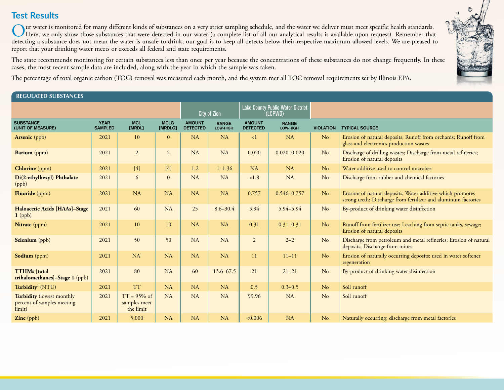# **Test Results**

Our water is monitored for many different kinds of substances on a very strict sampling schedule, and the water we deliver must meet specific health standards.<br>Here, we only show those substances that were detected in our detecting a substance does not mean the water is unsafe to drink; our goal is to keep all detects below their respective maximum allowed levels. We are pleased to report that your drinking water meets or exceeds all federal and state requirements.

The state recommends monitoring for certain substances less than once per year because the concentrations of these substances do not change frequently. In these cases, the most recent sample data are included, along with the year in which the sample was taken.

The percentage of total organic carbon (TOC) removal was measured each month, and the system met all TOC removal requirements set by Illinois EPA.

#### REGULATED SUBSTANCES

|                                                                          |                               |                                             |                        |                                  | City of Zion             | Lake County Public Water District<br>(LCPWD) |                          |                  |                                                                                                                              |
|--------------------------------------------------------------------------|-------------------------------|---------------------------------------------|------------------------|----------------------------------|--------------------------|----------------------------------------------|--------------------------|------------------|------------------------------------------------------------------------------------------------------------------------------|
| <b>SUBSTANCE</b><br>(UNIT OF MEASURE)                                    | <b>YEAR</b><br><b>SAMPLED</b> | <b>MCL</b><br>[MRDL]                        | <b>MCLG</b><br>[MRDLG] | <b>AMOUNT</b><br><b>DETECTED</b> | <b>RANGE</b><br>LOW-HIGH | <b>AMOUNT</b><br><b>DETECTED</b>             | <b>RANGE</b><br>LOW-HIGH | <b>VIOLATION</b> | <b>TYPICAL SOURCE</b>                                                                                                        |
| <b>Arsenic</b> (ppb)                                                     | 2021                          | 10                                          | $\overline{0}$         | NA                               | <b>NA</b>                | $\langle$ 1                                  | <b>NA</b>                | N <sub>o</sub>   | Erosion of natural deposits; Runoff from orchards; Runoff from<br>glass and electronics production wastes                    |
| Barium (ppm)                                                             | 2021                          | $\overline{2}$                              | $\overline{2}$         | <b>NA</b>                        | <b>NA</b>                | 0.020                                        | $0.020 - 0.020$          | No               | Discharge of drilling wastes; Discharge from metal refineries;<br>Erosion of natural deposits                                |
| Chlorine (ppm)                                                           | 2021                          | $[4]$                                       | $[4]$                  | 1.2                              | $1 - 1.36$               | <b>NA</b>                                    | <b>NA</b>                | N <sub>o</sub>   | Water additive used to control microbes                                                                                      |
| Di(2-ethylhexyl) Phthalate<br>(ppb)                                      | 2021                          | 6                                           | $\mathbf{0}$           | NA                               | <b>NA</b>                | 1.8                                          | <b>NA</b>                | No               | Discharge from rubber and chemical factories                                                                                 |
| Fluoride (ppm)                                                           | 2021                          | <b>NA</b>                                   | NA                     | <b>NA</b>                        | <b>NA</b>                | 0.757                                        | $0.546 - 0.757$          | N <sub>o</sub>   | Erosion of natural deposits; Water additive which promotes<br>strong teeth; Discharge from fertilizer and aluminum factories |
| Haloacetic Acids [HAAs]-Stage<br>$1$ (ppb)                               | 2021                          | 60                                          | <b>NA</b>              | 25                               | $8.6 - 30.4$             | 5.94                                         | 5.94 - 5.94              | No               | By-product of drinking water disinfection                                                                                    |
| Nitrate (ppm)                                                            | 2021                          | 10                                          | 10                     | <b>NA</b>                        | <b>NA</b>                | 0.31                                         | $0.31 - 0.31$            | N <sub>o</sub>   | Runoff from fertilizer use; Leaching from septic tanks, sewage;<br>Erosion of natural deposits                               |
| Selenium (ppb)                                                           | 2021                          | 50                                          | 50                     | <b>NA</b>                        | <b>NA</b>                | $\overline{2}$                               | $2 - 2$                  | No               | Discharge from petroleum and metal refineries; Erosion of natural<br>deposits; Discharge from mines                          |
| Sodium (ppm)                                                             | 2021                          | NA <sup>1</sup>                             | NA                     | <b>NA</b>                        | <b>NA</b>                | 11                                           | $11 - 11$                | N <sub>o</sub>   | Erosion of naturally occurring deposits; used in water softener<br>regeneration                                              |
| <b>TTHMs</b> [total<br>trihalomethanes]-Stage 1 (ppb)                    | 2021                          | 80                                          | <b>NA</b>              | 60                               | $13.6 - 67.5$            | 21                                           | $21 - 21$                | N <sub>o</sub>   | By-product of drinking water disinfection                                                                                    |
| Turbidity <sup>2</sup> (NTU)                                             | 2021                          | <b>TT</b>                                   | <b>NA</b>              | <b>NA</b>                        | <b>NA</b>                | 0.5                                          | $0.3 - 0.5$              | N <sub>o</sub>   | Soil runoff                                                                                                                  |
| <b>Turbidity</b> (lowest monthly<br>percent of samples meeting<br>limit) | 2021                          | $TT = 95\%$ of<br>samples meet<br>the limit | NA                     | <b>NA</b>                        | <b>NA</b>                | 99.96                                        | <b>NA</b>                | N <sub>o</sub>   | Soil runoff                                                                                                                  |
| Zinc (ppb)                                                               | 2021                          | 5,000                                       | <b>NA</b>              | <b>NA</b>                        | <b>NA</b>                | < 0.006                                      | <b>NA</b>                | N <sub>o</sub>   | Naturally occurring; discharge from metal factories                                                                          |